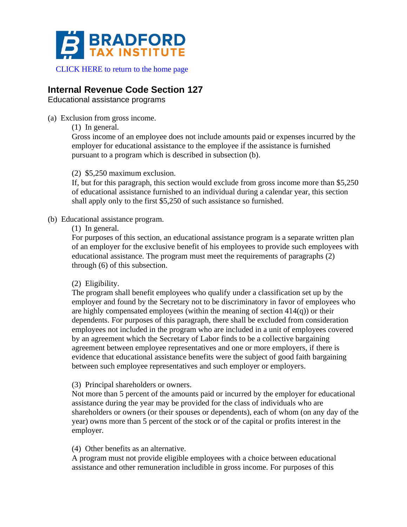

[CLICK HERE to return to the home page](https://www.bradfordtaxinstitute.com)

# **Internal Revenue Code Section 127**

Educational assistance programs

(a) Exclusion from gross income.

(1) In general.

Gross income of an employee does not include amounts paid or expenses incurred by the employer for educational assistance to the employee if the assistance is furnished pursuant to a program which is described in subsection (b).

### (2) \$5,250 maximum exclusion.

If, but for this paragraph, this section would exclude from gross income more than \$5,250 of educational assistance furnished to an individual during a calendar year, this section shall apply only to the first \$5,250 of such assistance so furnished.

### (b) Educational assistance program.

(1) In general.

For purposes of this section, an educational assistance program is a separate written plan of an employer for the exclusive benefit of his employees to provide such employees with educational assistance. The program must meet the requirements of paragraphs (2) through (6) of this subsection.

## (2) Eligibility.

The program shall benefit employees who qualify under a classification set up by the employer and found by the Secretary not to be discriminatory in favor of employees who are highly compensated employees (within the meaning of section  $414(q)$ ) or their dependents. For purposes of this paragraph, there shall be excluded from consideration employees not included in the program who are included in a unit of employees covered by an agreement which the Secretary of Labor finds to be a collective bargaining agreement between employee representatives and one or more employers, if there is evidence that educational assistance benefits were the subject of good faith bargaining between such employee representatives and such employer or employers.

(3) Principal shareholders or owners.

Not more than 5 percent of the amounts paid or incurred by the employer for educational assistance during the year may be provided for the class of individuals who are shareholders or owners (or their spouses or dependents), each of whom (on any day of the year) owns more than 5 percent of the stock or of the capital or profits interest in the employer.

### (4) Other benefits as an alternative.

A program must not provide eligible employees with a choice between educational assistance and other remuneration includible in gross income. For purposes of this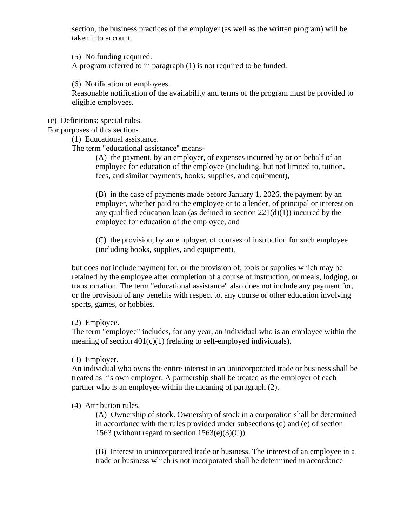section, the business practices of the employer (as well as the written program) will be taken into account.

(5) No funding required.

A program referred to in paragraph (1) is not required to be funded.

(6) Notification of employees.

Reasonable notification of the availability and terms of the program must be provided to eligible employees.

#### (c) Definitions; special rules.

For purposes of this section-

(1) Educational assistance.

The term "educational assistance" means-

(A) the payment, by an employer, of expenses incurred by or on behalf of an employee for education of the employee (including, but not limited to, tuition, fees, and similar payments, books, supplies, and equipment),

(B) in the case of payments made before January 1, 2026, the payment by an employer, whether paid to the employee or to a lender, of principal or interest on any qualified education loan (as defined in section  $221(d)(1)$ ) incurred by the employee for education of the employee, and

(C) the provision, by an employer, of courses of instruction for such employee (including books, supplies, and equipment),

but does not include payment for, or the provision of, tools or supplies which may be retained by the employee after completion of a course of instruction, or meals, lodging, or transportation. The term "educational assistance" also does not include any payment for, or the provision of any benefits with respect to, any course or other education involving sports, games, or hobbies.

(2) Employee.

The term "employee" includes, for any year, an individual who is an employee within the meaning of section  $401(c)(1)$  (relating to self-employed individuals).

(3) Employer.

An individual who owns the entire interest in an unincorporated trade or business shall be treated as his own employer. A partnership shall be treated as the employer of each partner who is an employee within the meaning of paragraph (2).

#### (4) Attribution rules.

(A) Ownership of stock. Ownership of stock in a corporation shall be determined in accordance with the rules provided under subsections (d) and (e) of section 1563 (without regard to section  $1563(e)(3)(C)$ ).

(B) Interest in unincorporated trade or business. The interest of an employee in a trade or business which is not incorporated shall be determined in accordance